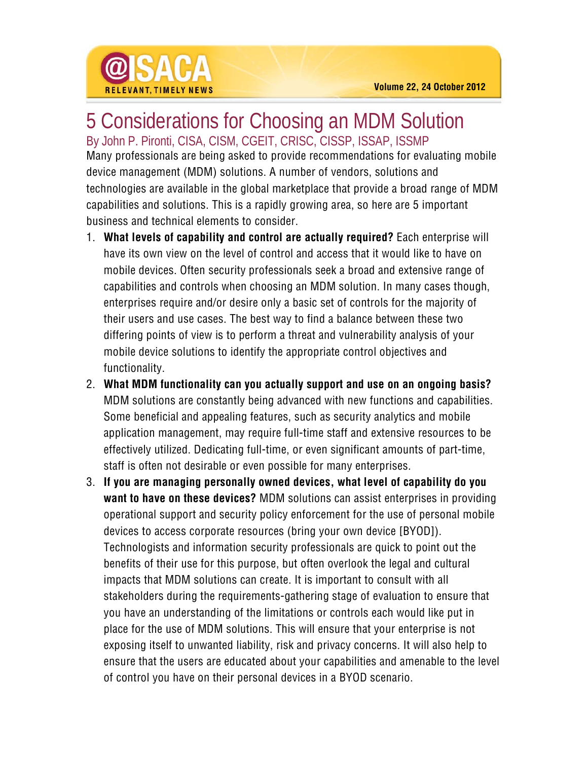

## 5 Considerations for Choosing an MDM Solution

By John P. Pironti, CISA, CISM, CGEIT, CRISC, CISSP, ISSAP, ISSMP Many professionals are being asked to provide recommendations for evaluating mobile device management (MDM) solutions. A number of vendors, solutions and technologies are available in the global marketplace that provide a broad range of MDM capabilities and solutions. This is a rapidly growing area, so here are 5 important business and technical elements to consider.

- 1. **What levels of capability and control are actually required?** Each enterprise will have its own view on the level of control and access that it would like to have on mobile devices. Often security professionals seek a broad and extensive range of capabilities and controls when choosing an MDM solution. In many cases though, enterprises require and/or desire only a basic set of controls for the majority of their users and use cases. The best way to find a balance between these two differing points of view is to perform a threat and vulnerability analysis of your mobile device solutions to identify the appropriate control objectives and functionality.
- 2. **What MDM functionality can you actually support and use on an ongoing basis?** MDM solutions are constantly being advanced with new functions and capabilities. Some beneficial and appealing features, such as security analytics and mobile application management, may require full-time staff and extensive resources to be effectively utilized. Dedicating full-time, or even significant amounts of part-time, staff is often not desirable or even possible for many enterprises.
- 3. **If you are managing personally owned devices, what level of capability do you want to have on these devices?** MDM solutions can assist enterprises in providing operational support and security policy enforcement for the use of personal mobile devices to access corporate resources (bring your own device [BYOD]). Technologists and information security professionals are quick to point out the benefits of their use for this purpose, but often overlook the legal and cultural impacts that MDM solutions can create. It is important to consult with all stakeholders during the requirements-gathering stage of evaluation to ensure that you have an understanding of the limitations or controls each would like put in place for the use of MDM solutions. This will ensure that your enterprise is not exposing itself to unwanted liability, risk and privacy concerns. It will also help to ensure that the users are educated about your capabilities and amenable to the level of control you have on their personal devices in a BYOD scenario.